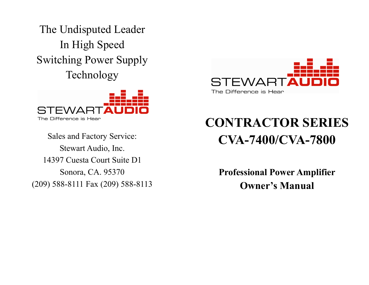The Undisputed Leader In High Speed Switching Power Supply Technology



Sales and Factory Service: Stewart Audio, Inc. 14397 Cuesta Court Suite D1 Sonora, CA. 95370 (209) 588-8111 Fax (209) 588-8113



# CONTRACTOR SERIES CVA-7400/CVA-7800

Professional Power Amplifier Owner's Manual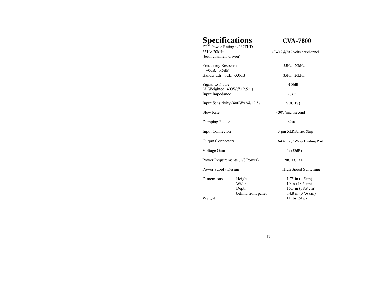# **Specifications CVA-7800**

FTC Power Rating < 1%THD.<br>35Hz-20kHz  $40Wx2@70.7$  volts per channel (both channels driven) Frequency Response 35Hz - 20kHz  $+0dB$ ,  $-0.5dB$ Bandwidth +0dB, -3.0dB 35Hz - 20kHz Signal-to-Noise >100dB (A Weighted, 400W@12.5? ) Input Impedance 20K? Input Sensitivity  $(400Wx2@12.5?$  ) 1V(0dBV) Slew Rate <30V/microsecond Damping Factor  $<$ 200 Input Connectors 3-pin XLRBarrier Strip Output Connectors 6-Gauge, 5-Way Binding Post Voltage Gain 40x (32dB) Power Requirements (1/8 Power) 120C AC 3A Power Supply Design High Speed Switching Dimensions Height 1.75 in (4.5cm)<br>Width 19 in (48.3 cm) Width 19 in (48.3 cm)<br>Depth 15.3 in (38.9 cm 15.3 in (38.9 cm)<br>14.8 in (37.6 cm) behind front panel Weight 11 lbs (5kg)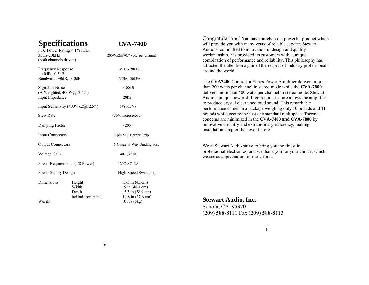**Specifications CVA-7400**



FTC Power Rating <.1%THD.  $35\text{Hz}-20\text{kHz}$  200Wx2@70.7 volts per channel (both channels driven) Frequency Response 35Hz - 20kHz +0dB, -0.5dB Bandwidth  $+0$ dB,  $-3.0$ dB 35Hz - 20kHz Signal-to-Noise >100dB (A Weighted, 400W@12.5? ) Input Impedance 20K? Input Sensitivity  $(400Wx2@12.5?$  ) 1V(0dBV) Slew Rate  $\leq 30 \text{V/m}$   $\leq 30 \text{V/m}$ Damping Factor  $\leq 200$ Input Connectors 3-pin XLRBarrier Strip Output Connectors 6-Gauge, 5-Way Binding Post Voltage Gain 40x (32dB) Power Requirements (1/8 Power) 120C AC 3A Power Supply Design High Speed Switching Dimensions Height 1.75 in (4.5cm)<br>Width 19 in (48.3 cm)  $19$  in  $(48.3 \text{ cm})$ Depth 15.3 in (38.9 cm) behind front panel 14.8 in (37.6 cm) Weight 10 lbs (5kg)

Congratulations! You have purchased a powerful product which will provide you with many years of reliable service. Stewart Audio's, committed to innovation in design and quality workmanship, has provided its customers with a unique combination of performance and reliability. This philosophy has attracted the attention a gained the respect of industry professionals around the world.

The **CVA7400** Contractor Series Power Amplifier delivers more than 200 watts per channel in stereo mode while the **CVA-7800** delivers more than 400 watts per channel in stereo mode. Stewart Audio's unique power shift correction feature allows the amplifier to produce crystal clear uncolored sound. This remarkable performance comes in a package weighing only 10 pounds and 11 pounds while occupying just one standard rack space. Thermal concerns are minimized in the **CVA-7400 and CVA-7800** by innovative circuitry and extraordinary efficiency, making installation simpler than ever before.

We at Stewart Audio strive to bring you the finest in professional electronics, and we thank you for your choice, which we see as appreciation for our efforts.

### **Stewart Audio, Inc.**

Sonora, CA. 95370 (209) 588-8111 Fax (209) 588-8113

#### 1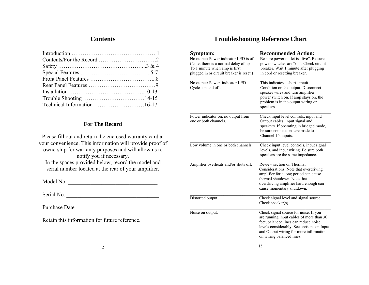# **Contents**

## **For The Record**

Please fill out and return the enclosed warranty card at your convenience. This information will provide proof of ownership for warranty purposes and will allow us to notify you if necessary. In the spaces provided below, record the model and serial number located at the rear of your amplifier.

Model No. \_\_\_\_\_\_\_\_\_\_\_\_\_\_\_\_\_\_\_\_\_\_\_\_\_\_\_\_\_\_\_\_

Serial No. \_\_\_\_\_\_\_\_\_\_\_\_\_\_\_\_\_\_\_\_\_\_\_\_\_\_\_\_\_\_\_\_\_

Purchase Date

Retain this information for future reference.

# **Troubleshooting Reference Chart**

| Symptom:<br>No output: Power indicator LED is off<br>(Note: there is a normal delay of up<br>To 1 minute when amp is first<br>plugged in or circuit breaker is reset.) | <b>Recommended Action:</b><br>Be sure power outlet is "live". Be sure<br>power switches are "on". Check circuit<br>breaker. Wait 1 minute after plugging<br>in cord or resetting breaker.                                                       |
|------------------------------------------------------------------------------------------------------------------------------------------------------------------------|-------------------------------------------------------------------------------------------------------------------------------------------------------------------------------------------------------------------------------------------------|
| No output: Power indicator LED<br>Cycles on and off.                                                                                                                   | This indicates a short-circuit<br>Condition on the output. Disconnect<br>speaker wires and turn amplifier<br>power switch on. If amp stays on, the<br>problem is in the output wiring or<br>speakers.                                           |
| Power indicator on: no output from<br>one or both channels.                                                                                                            | Check input level controls, input and<br>Output cables, input signal and<br>speakers. If operating in bridged mode,<br>be sure connections are made to<br>Channel 1's inputs.                                                                   |
| Low volume in one or both channels.                                                                                                                                    | Check input level controls, input signal<br>levels, and input wiring. Be sure both<br>speakers are the same impedance.                                                                                                                          |
| Amplifier overheats and/or shuts off.                                                                                                                                  | Review section on Thermal<br>Considerations. Note that overdriving<br>amplifier for a long period can cause<br>thermal shutdown. Note that<br>overdriving amplifier hard enough can<br>cause momentary shutdown.                                |
| Distorted output.                                                                                                                                                      | Check signal level and signal source.<br>Check speaker $(s)$ .                                                                                                                                                                                  |
| Noise on output.                                                                                                                                                       | Check signal source for noise. If you<br>are running input cables of more than 30<br>feet, balanced lines can reduce noise<br>levels considerably. See sections on Input<br>and Output wiring for more information<br>on wiring balanced lines. |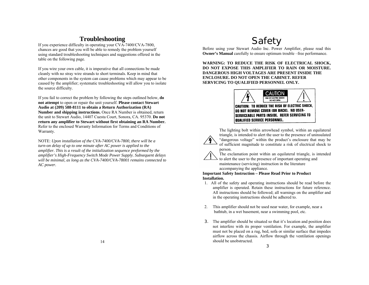# **Troubleshooting**

If you experience difficulty in operating your CVA-7400/CVA-7800, chances are good that you will be able to remedy the problem yourself using standard troubleshooting techniques and suggestions offered in the table on the following page.

If you wire your own cable, it is imperative that all connections be made cleanly with no stray wire strands to short terminals. Keep in mind that other components in the system can cause problems which may appear to be caused by the amplifier; systematic troubleshooting will allow you to isolate the source difficulty.

If you fail to correct the problem by following the steps outlined below, **do not attempt** to open or repair the unit yourself. **Please contact Stewart Audio at (209) 588-8111 to obtain a Return Authorization (RA) Number and shipping instructions.** Once RA Number is obtained, return the unit to Stewart Audio, 14407 Cuesta Court, Sonora, CA. 95370. **Do not return any amplifier to Stewart without first obtaining an RA Number.**  Refer to the enclosed Warranty Information for Terms and Conditions of Warranty.

NOTE: *Upon installation of the CVA-7400/CVA-7800, there will be a turn-on delay of up to one minute after AC power is applied to the amplifier. This is a result of the initialization sequence preformed by the amplifier's High-Frequency Switch Mode Power Supply. Subsequent delays will be minimal, as long as the CVA-7400/CVA-78001 remains connected to AC power.*

# Safety

Before using your Stewart Audio Inc. Power Amplifier, please read this **Owner's Manual** carefully to ensure optimum trouble –free performance.

**WARNING: TO REDUCE THE RISK OF ELECTRICAL SHOCK, DO NOT EXPOSE THIS AMPLIFIER TO RAIN OR MOISTURE. DANGEROUS HIGH VOLTAGES ARE PRESENT INSIDE THE ENCLOSURE. DO NOT OPEN THE CABINET. REFER SERVICING TO QUALIFIED PERSONNEL ONLY.**



CAUTION: TO REDUCE THE RISK OF ELECTRIC SHOCK, DO NOT REMOVE COVER (OR BACK). NO USER-**SERVICEABLE PARTS INSIDE. REFER SERVICING TO QUALIFIED SERVICE PERSONNEL.** 

The lighting bolt within arrowhead symbol, within an equilateral triangle, is intended to alert the user to the presence of uninsulated "dangerous voltage" within the product's enclosure that may be of sufficient magnitude to constitute a risk of electrical shock to person.



The exclamation point within an equilateral triangle, is intended to alert the user to the presence of important operating and maintenance (servicing) instruction in the literature accompanying the appliance.

**Important Safety Instruction – Please Read Prior to Product Installation.**

- 1. All of the safety and operating instructions should be read before the amplifier is operated. Retain these instructions for future reference. All instructions should be followed; all warnings on the amplifier and in the operating instructions should be adhered to.
- 2. This amplifier should not be used near water, for example, near a bathtub, in a wet basement, near a swimming pool, etc.
- 3. The amplifier should be situated so that it's location and position does not interfere with its proper ventilation. For example, the amplifier must not be placed on a rug, bed, sofa or similar surface that impedes airflow across the chassis. Airflow through the ventilation openings should be unobstructed.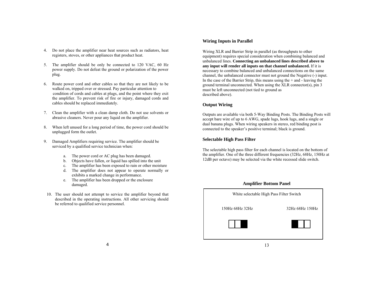- 4. Do not place the amplifier near heat sources such as radiators, heat registers, stoves, or other appliances that product heat.
- 5. The amplifier should be only be connected to 120 VAC, 60 Hz power supply. Do not defeat the ground or polarization of the power plug.
- 6. Route power cord and other cables so that they are not likely to be walked on, tripped over or stressed. Pay particular attention to condition of cords and cables at plugs, and the point where they exit the amplifier. To prevent risk of fire or injury, damaged cords and cables should be replaced immediately.
- 7. Clean the amplifier with a clean damp cloth. Do not use solvents or abrasive cleaners. Never pour any liquid on the amplifier.
- 8. When left unused for a long period of time, the power cord should be unplugged form the outlet.
- 9. Damaged Amplifiers requiring service. The amplifier should be serviced by a qualified service technician when:
	- a. The power cord or AC plug has been damaged.
	- b. Objects have fallen, or liquid has spilled into the unit
	- c. The amplifier has been exposed to rain or other moisture
	- d. The amplifier does not appear to operate normally or exhibits a marked change in performance.
	- e. The amplifier has been dropped or the enclosure damaged.
- 10. The user should not attempt to service the amplifier beyond that described in the operating instructions. All other servicing should be referred to qualified service personnel.

#### **Wiring Inputs in Parallel**

Wiring XLR and Barrier Strip in parallel (as throughputs to other equipment) requires special consideration when combining balanced and unbalanced lines. **Connecting an unbalanced lines described above to any input will render all inputs on that channel unbalanced.** If it is necessary to combine balanced and unbalanced connections on the same channel, the unbalanced connector must not ground the Negative (-) input. In the case of the Barrier Strip, this means using the  $+$  and  $-$  leaving the ground terminal unconnected. When using the XLR connector(s), pin 3 must be left unconnected (not tied to ground as described above).

#### **Output Wiring**

I

Outputs are available via both 5-Way Binding Posts. The Binding Posts will accept bare wire of up to 6 AWG, spade lugs, hook lugs, and a single or dual banana plugs. When wiring speakers in stereo, red binding post is connected to the speaker's positive terminal; black is ground.

#### **Selectable High Pass Filter**

The selectable high pass filter for each channel is located on the bottom of the amplifier. One of the three different frequencies (32Hz, 68Hz, 150Hz at 12dB per octave) may be selected via the white recessed slide switch.

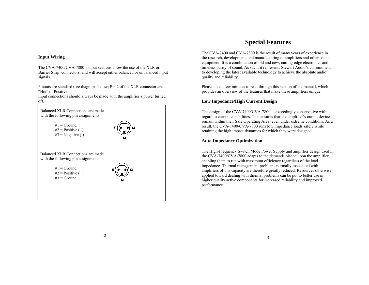#### **Input Wiring**

The CVA-7400/CVA-7800's input sections allow the use of the XLR or Barrier Strip connectors, and will accept either balanced or unbalanced input signals.

Pinouts are standard (see diagrams below; Pin 2 of the XLR connector are "Hot" of Positive.

Input connections should always be made with the amplifier's power turned off.



# **Special Features**

The CVA-7400 and CVA-7800 is the result of many years of experience in the research, development, and manufacturing of amplifiers and other sound equipment. It is a combination of old and new, cutting-edge electronics and timeless purity of sound. As such, it represents Stewart Audio's commitment to developing the latest available technology to achieve the absolute audio quality and reliability.

Please take a few minutes to read through this section of the manual, which provides an overview of the features that make these amplifiers unique.

#### **Low Impedance/High Current Design**

The design of the CVA-7400/CVA-7800 is exceedingly conservative with regard to current capabilities. This ensures that the amplifier's output devices remain within their Safe Operating Area, even under extreme conditions. As a result, the CVA-7400/CVA-7800 runs low impedance loads safely while retaining the high impact dynamics for which they were designed.

#### **Auto Impedance Optimization**

The High-Frequency Switch Mode Power Supply and amplifier design used in the CVA-7400/CVA-7800 adapts to the demands placed upon the amplifier, enabling them to run with maximum efficiency regardless of the load impedance. Thermal management problems normally associated with amplifiers of this capacity are therefore greatly reduced. Resources otherwise applied toward dealing with thermal problems can be put to better use in higher quality active components for increased reliability and improved performance.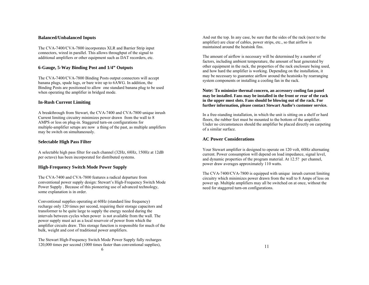#### **Balanced/Unbalanced Inputs**

The CVA-7400/CVA-7800 incorporates XLR and Barrier Strip input connectors, wired in parallel. This allows throughput of the signal to additional amplifiers or other equipment such as DAT recorders, etc.

#### **6-Gauge, 5-Way Binding Post and 1/4" Outputs**

The CVA-7400/CVA-7800 Binding Posts output connectors will accept banana plugs, spade lugs, or bare wire up to 6AWG. In addition, the Binding Posts are positioned to allow one standard banana plug to be used when operating the amplifier in bridged mode.

#### **In-Rush Current Limiting**

A breakthrough from Stewart, the CVA-7400 and CVA-7800 unique inrush Current limiting circuitry minimizes power drawn from the wall to 8 AMPS or less on plug-in. Staggered turn-on configurations for multiple-amplifier setups are now a thing of the past, as multiple amplifiers may be switch on simultaneously.

#### **Selectable High Pass Filter**

A selectable high pass filter for each channel (32Hz, 68Hz, 150Hz at 12dB per octave) has been incorporated for distributed systems.

#### **High-Frequency Switch Mode Power Supply**

The CVA-7400 and CVA-7800 features a radical departure from conventional power supply design: Stewart's High-Frequency Switch Mode Power Supply . Because of this pioneering use of advanced technology, some explanation is in order.

Conventional supplies operating at 60Hz (standard line frequency) recharge only 120 times per second, requiring their storage capacitors and transformer to be quite large to supply the energy needed during the intervals between cycles when power is not available from the wall. The power supply must act as a local reservoir of power from which the amplifier circuits draw. This storage function is responsible for much of the bulk, weight and cost of traditional power amplifiers.

The Stewart High-Frequency Switch Mode Power Supply fully recharges 120,000 times per second (1000 times faster than conventional supplies), 6

And out the top. In any case, be sure that the sides of the rack (next to the amplifier) are clear of cables, power strips, etc., so that airflow is maintained around the heatsink fins.

The amount of airflow is necessary will be determined by a number of factors, including ambient temperature, the amount of heat generated by other equipment in the rack, the properties of the rack enclosure being used, and how hard the amplifier is working. Depending on the installation, it may be necessary to guarantee airflow around the heatsinks by rearranging system components or installing a cooling fan in the rack.

**Note: To minimize thermal concern, an accessory cooling fan panel may be installed. Fans may be installed in the front or rear of the rack in the upper most slots. Fans should be blowing out of the rack. For further information, please contact Stewart Audio's customer service.**

In a free-standing installation, in which the unit is sitting on a shelf or hard floors, the rubber feet must be mounted to the bottom of the amplifier. Under no circumstances should the amplifier be placed directly on carpeting of a similar surface.

#### **AC Power Considerations**

Your Stewart amplifier is designed to operate on 120 volt, 60Hz alternating current. Power consumption will depend on load impedance, signal level, and dynamic properties of the program material. At 12.5? per channel, power draw averages approximately 110 watts.

The CVA-7400/CVA-7800 is equipped with unique inrush current limiting circuitry which minimizes power drawn from the wall to 8 Amps of less on power up. Multiple amplifiers may all be switched on at once, without the need for staggered turn-on configurations.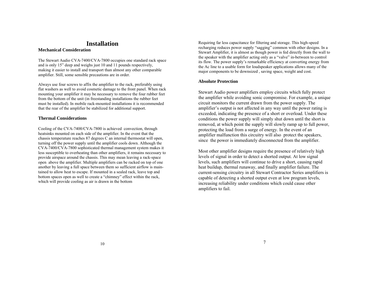## **Installation**

#### **Mechanical Consideration**

The Stewart Audio CVA-7400/CVA-7800 occupies one standard rack space and is only 15" deep and weighs just 10 and 11 pounds respectively, making it easier to install and transport than almost any other comparable amplifier. Still, some sensible precautions are in order.

Always use four screws to affix the amplifier to the rack, preferably using flat washers as well to avoid cosmetic damage to the front panel. When rack mounting your amplifier it may be necessary to remove the four rubber feet from the bottom of the unit (in freestanding installations the rubber feet must be installed). In mobile rack-mounted installations it is recommended that the rear of the amplifier be stabilized for additional support.

#### **Thermal Considerations**

Cooling of the CVA-7400/CVA-7800 is achieved convection, through heatsinks mounted on each side of the amplifier. In the event that the chassis temperature reaches 87 degrees C an internal thermostat will open, turning off the power supply until the amplifier cools down. Although the CVA-7400/CVA-7800 sophisticated thermal management system makes it less susceptible to overheating than other amplifiers, it remains necessary to provide airspace around the chassis. This may mean leaving a rack-space open above the amplifier. Multiple amplifiers can be racked on top of one another by leaving a full space between them so sufficient airflow is maintained to allow heat to escape. If mounted in a sealed rack, leave top and bottom spaces open as well to create a "chimney" effect within the rack, which will provide cooling as air is drawn in the bottom

Requiring far less capacitance for filtering and storage. This high-speed recharging reduces power supply "sagging" common with other designs. In a Stewart Amplifier, it is almost as though power is fed directly from the wall to the speaker with the amplifier acting only as a "valve" in-between to control its flow. The power supply's remarkable efficiency at converting energy from the Ac line to a usable form for loudspeaker applications allows many of the major components to be downsized , saving space, weight and cost.

#### **Absolute Protection**

Stewart Audio power amplifiers employ circuits which fully protect the amplifier while avoiding sonic compromise. For example, a unique circuit monitors the current drawn from the power supply. The amplifier's output is not affected in any way until the power rating is exceeded, indicating the presence of a short or overload. Under these conditions the power supply will simply shut down until the short is removed, at which point the supply will slowly ramp up to full power, protecting the load from a surge of energy. In the event of an amplifier malfunction this circuitry will also protect the speakers, since the power is immediately disconnected from the amplifier.

Most other amplifier designs require the presence of relatively high levels of signal in order to detect a shorted output. At low signal levels, such amplifiers will continue to drive a short, causing rapid heat buildup, thermal runaway, and finally amplifier failure. The current-sensing circuitry in all Stewart Contractor Series amplifiers is capable of detecting a shorted output even at low program levels, increasing reliability under conditions which could cause other amplifiers to fail.